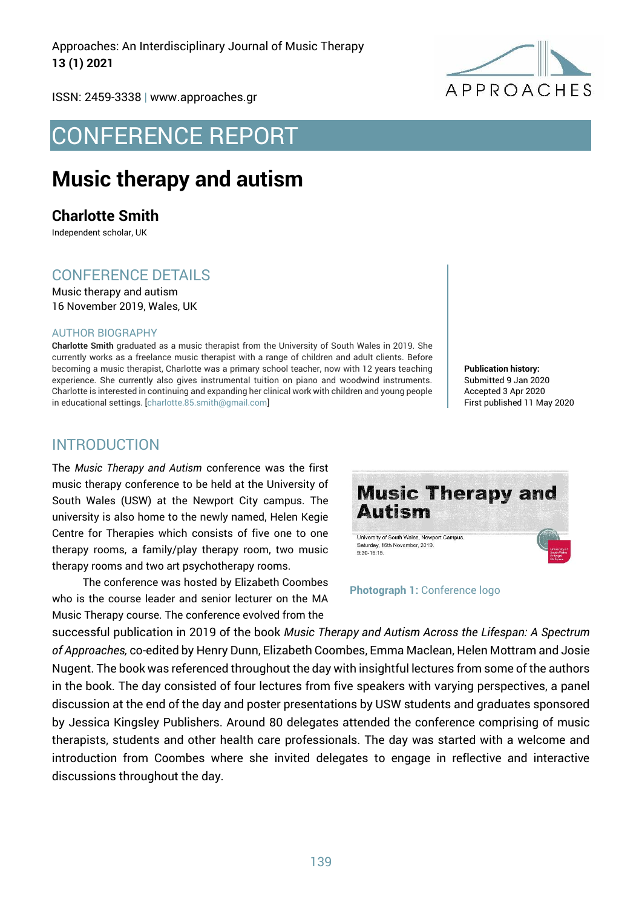Approaches: An Interdisciplinary Journal of Music Therapy **13 (1) 2021**



ISSN: 2459-3338 | www.approaches.gr

# CONFERENCE REPORT

## **Music therapy and autism**

**Charlotte Smith**

Independent scholar, UK

## CONFERENCE DETAILS

Music therapy and autism 16 November 2019, Wales, UK

#### AUTHOR BIOGRAPHY

**Charlotte Smith** graduated as a music therapist from the University of South Wales in 2019. She currently works as a freelance music therapist with a range of children and adult clients. Before becoming a music therapist, Charlotte was a primary school teacher, now with 12 years teaching experience. She currently also gives instrumental tuition on piano and woodwind instruments. Charlotte is interested in continuing and expanding her clinical work with children and young people in educational settings. [charlotte.85.smith@gmail.com]

**Publication history:**  Submitted 9 Jan 2020 Accepted 3 Apr 2020 First published 11 May 2020

#### INTRODUCTION

The *Music Therapy and Autism* conference was the first music therapy conference to be held at the University of South Wales (USW) at the Newport City campus. The university is also home to the newly named, Helen Kegie Centre for Therapies which consists of five one to one therapy rooms, a family/play therapy room, two music therapy rooms and two art psychotherapy rooms.

The conference was hosted by Elizabeth Coombes who is the course leader and senior lecturer on the MA Music Therapy course. The conference evolved from the



**Photograph 1:** Conference logo

successful publication in 2019 of the book *Music Therapy and Autism Across the Lifespan: A Spectrum of Approaches,* co-edited by Henry Dunn, Elizabeth Coombes, Emma Maclean, Helen Mottram and Josie Nugent. The book was referenced throughout the day with insightful lectures from some of the authors in the book. The day consisted of four lectures from five speakers with varying perspectives, a panel discussion at the end of the day and poster presentations by USW students and graduates sponsored by Jessica Kingsley Publishers. Around 80 delegates attended the conference comprising of music therapists, students and other health care professionals. The day was started with a welcome and introduction from Coombes where she invited delegates to engage in reflective and interactive discussions throughout the day.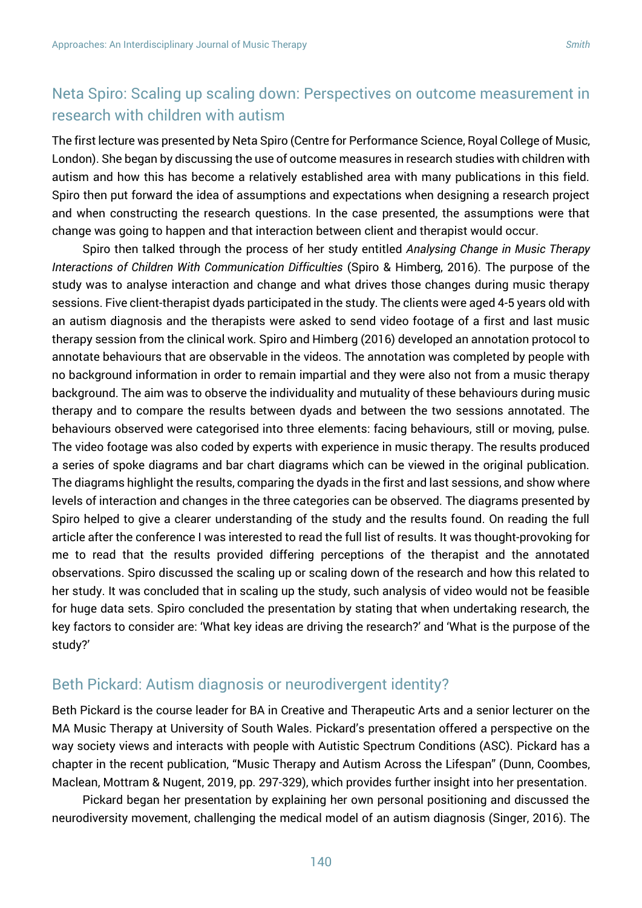## Neta Spiro: Scaling up scaling down: Perspectives on outcome measurement in research with children with autism

The first lecture was presented by Neta Spiro (Centre for Performance Science, Royal College of Music, London). She began by discussing the use of outcome measures in research studies with children with autism and how this has become a relatively established area with many publications in this field. Spiro then put forward the idea of assumptions and expectations when designing a research project and when constructing the research questions. In the case presented, the assumptions were that change was going to happen and that interaction between client and therapist would occur.

Spiro then talked through the process of her study entitled *Analysing Change in Music Therapy Interactions of Children With Communication Difficulties* (Spiro & Himberg, 2016). The purpose of the study was to analyse interaction and change and what drives those changes during music therapy sessions. Five client-therapist dyads participated in the study. The clients were aged 4-5 years old with an autism diagnosis and the therapists were asked to send video footage of a first and last music therapy session from the clinical work. Spiro and Himberg (2016) developed an annotation protocol to annotate behaviours that are observable in the videos. The annotation was completed by people with no background information in order to remain impartial and they were also not from a music therapy background. The aim was to observe the individuality and mutuality of these behaviours during music therapy and to compare the results between dyads and between the two sessions annotated. The behaviours observed were categorised into three elements: facing behaviours, still or moving, pulse. The video footage was also coded by experts with experience in music therapy. The results produced a series of spoke diagrams and bar chart diagrams which can be viewed in the original publication. The diagrams highlight the results, comparing the dyads in the first and last sessions, and show where levels of interaction and changes in the three categories can be observed. The diagrams presented by Spiro helped to give a clearer understanding of the study and the results found. On reading the full article after the conference I was interested to read the full list of results. It was thought-provoking for me to read that the results provided differing perceptions of the therapist and the annotated observations. Spiro discussed the scaling up or scaling down of the research and how this related to her study. It was concluded that in scaling up the study, such analysis of video would not be feasible for huge data sets. Spiro concluded the presentation by stating that when undertaking research, the key factors to consider are: 'What key ideas are driving the research?' and 'What is the purpose of the study?'

#### Beth Pickard: Autism diagnosis or neurodivergent identity?

Beth Pickard is the course leader for BA in Creative and Therapeutic Arts and a senior lecturer on the MA Music Therapy at University of South Wales. Pickard's presentation offered a perspective on the way society views and interacts with people with Autistic Spectrum Conditions (ASC). Pickard has a chapter in the recent publication, "Music Therapy and Autism Across the Lifespan" (Dunn, Coombes, Maclean, Mottram & Nugent, 2019, pp. 297-329), which provides further insight into her presentation.

Pickard began her presentation by explaining her own personal positioning and discussed the neurodiversity movement, challenging the medical model of an autism diagnosis (Singer, 2016). The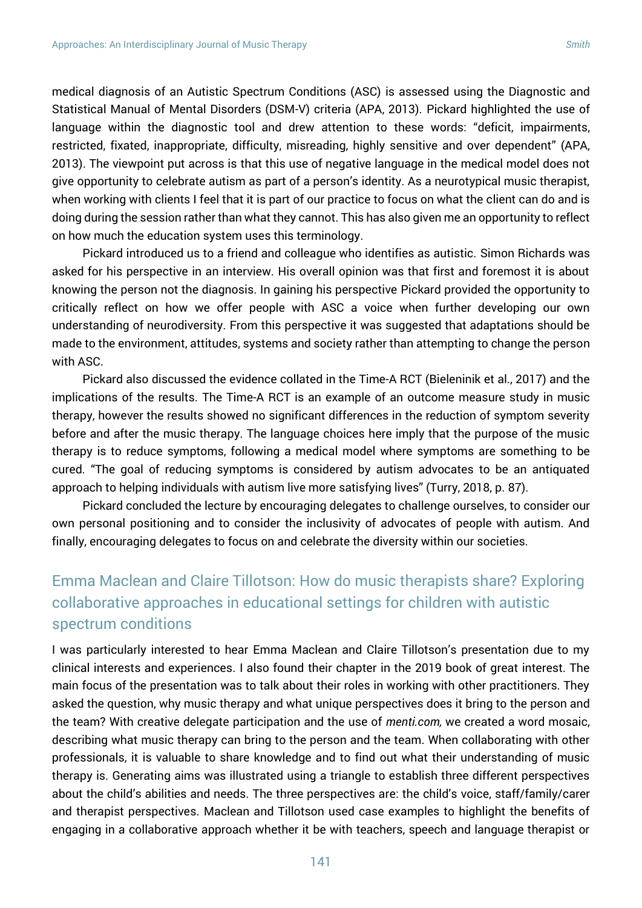medical diagnosis of an Autistic Spectrum Conditions (ASC) is assessed using the Diagnostic and Statistical Manual of Mental Disorders (DSM-V) criteria (APA, 2013). Pickard highlighted the use of language within the diagnostic tool and drew attention to these words: "deficit, impairments, restricted, fixated, inappropriate, difficulty, misreading, highly sensitive and over dependent" (APA, 2013). The viewpoint put across is that this use of negative language in the medical model does not give opportunity to celebrate autism as part of a person's identity. As a neurotypical music therapist, when working with clients I feel that it is part of our practice to focus on what the client can do and is doing during the session rather than what they cannot. This has also given me an opportunity to reflect on how much the education system uses this terminology.

Pickard introduced us to a friend and colleague who identifies as autistic. Simon Richards was asked for his perspective in an interview. His overall opinion was that first and foremost it is about knowing the person not the diagnosis. In gaining his perspective Pickard provided the opportunity to critically reflect on how we offer people with ASC a voice when further developing our own understanding of neurodiversity. From this perspective it was suggested that adaptations should be made to the environment, attitudes, systems and society rather than attempting to change the person with ASC.

Pickard also discussed the evidence collated in the Time-A RCT (Bieleninik et al., 2017) and the implications of the results. The Time-A RCT is an example of an outcome measure study in music therapy, however the results showed no significant differences in the reduction of symptom severity before and after the music therapy. The language choices here imply that the purpose of the music therapy is to reduce symptoms, following a medical model where symptoms are something to be cured. "The goal of reducing symptoms is considered by autism advocates to be an antiquated approach to helping individuals with autism live more satisfying lives" (Turry, 2018, p. 87).

Pickard concluded the lecture by encouraging delegates to challenge ourselves, to consider our own personal positioning and to consider the inclusivity of advocates of people with autism. And finally, encouraging delegates to focus on and celebrate the diversity within our societies.

## Emma Maclean and Claire Tillotson: How do music therapists share? Exploring collaborative approaches in educational settings for children with autistic spectrum conditions

I was particularly interested to hear Emma Maclean and Claire Tillotson's presentation due to my clinical interests and experiences. I also found their chapter in the 2019 book of great interest. The main focus of the presentation was to talk about their roles in working with other practitioners. They asked the question, why music therapy and what unique perspectives does it bring to the person and the team? With creative delegate participation and the use of *menti.com,* we created a word mosaic, describing what music therapy can bring to the person and the team. When collaborating with other professionals, it is valuable to share knowledge and to find out what their understanding of music therapy is. Generating aims was illustrated using a triangle to establish three different perspectives about the child's abilities and needs. The three perspectives are: the child's voice, staff/family/carer and therapist perspectives. Maclean and Tillotson used case examples to highlight the benefits of engaging in a collaborative approach whether it be with teachers, speech and language therapist or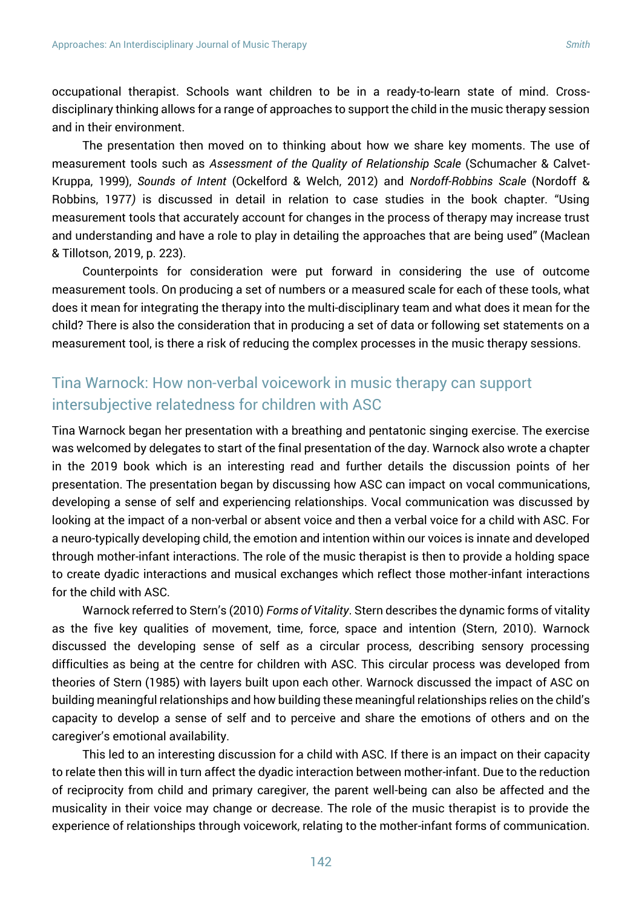occupational therapist. Schools want children to be in a ready-to-learn state of mind. Crossdisciplinary thinking allows for a range of approaches to support the child in the music therapy session and in their environment.

The presentation then moved on to thinking about how we share key moments. The use of measurement tools such as *Assessment of the Quality of Relationship Scale* (Schumacher & Calvet-Kruppa, 1999), *Sounds of Intent* (Ockelford & Welch, 2012) and *Nordoff-Robbins Scale* (Nordoff & Robbins, 1977*)* is discussed in detail in relation to case studies in the book chapter. "Using measurement tools that accurately account for changes in the process of therapy may increase trust and understanding and have a role to play in detailing the approaches that are being used" (Maclean & Tillotson, 2019, p. 223).

Counterpoints for consideration were put forward in considering the use of outcome measurement tools. On producing a set of numbers or a measured scale for each of these tools, what does it mean for integrating the therapy into the multi-disciplinary team and what does it mean for the child? There is also the consideration that in producing a set of data or following set statements on a measurement tool, is there a risk of reducing the complex processes in the music therapy sessions.

## Tina Warnock: How non-verbal voicework in music therapy can support intersubjective relatedness for children with ASC

Tina Warnock began her presentation with a breathing and pentatonic singing exercise. The exercise was welcomed by delegates to start of the final presentation of the day. Warnock also wrote a chapter in the 2019 book which is an interesting read and further details the discussion points of her presentation. The presentation began by discussing how ASC can impact on vocal communications, developing a sense of self and experiencing relationships. Vocal communication was discussed by looking at the impact of a non-verbal or absent voice and then a verbal voice for a child with ASC. For a neuro-typically developing child, the emotion and intention within our voices is innate and developed through mother-infant interactions. The role of the music therapist is then to provide a holding space to create dyadic interactions and musical exchanges which reflect those mother-infant interactions for the child with ASC.

Warnock referred to Stern's (2010) *Forms of Vitality*. Stern describes the dynamic forms of vitality as the five key qualities of movement, time, force, space and intention (Stern, 2010). Warnock discussed the developing sense of self as a circular process, describing sensory processing difficulties as being at the centre for children with ASC. This circular process was developed from theories of Stern (1985) with layers built upon each other. Warnock discussed the impact of ASC on building meaningful relationships and how building these meaningful relationships relies on the child's capacity to develop a sense of self and to perceive and share the emotions of others and on the caregiver's emotional availability.

This led to an interesting discussion for a child with ASC. If there is an impact on their capacity to relate then this will in turn affect the dyadic interaction between mother-infant. Due to the reduction of reciprocity from child and primary caregiver, the parent well-being can also be affected and the musicality in their voice may change or decrease. The role of the music therapist is to provide the experience of relationships through voicework, relating to the mother-infant forms of communication.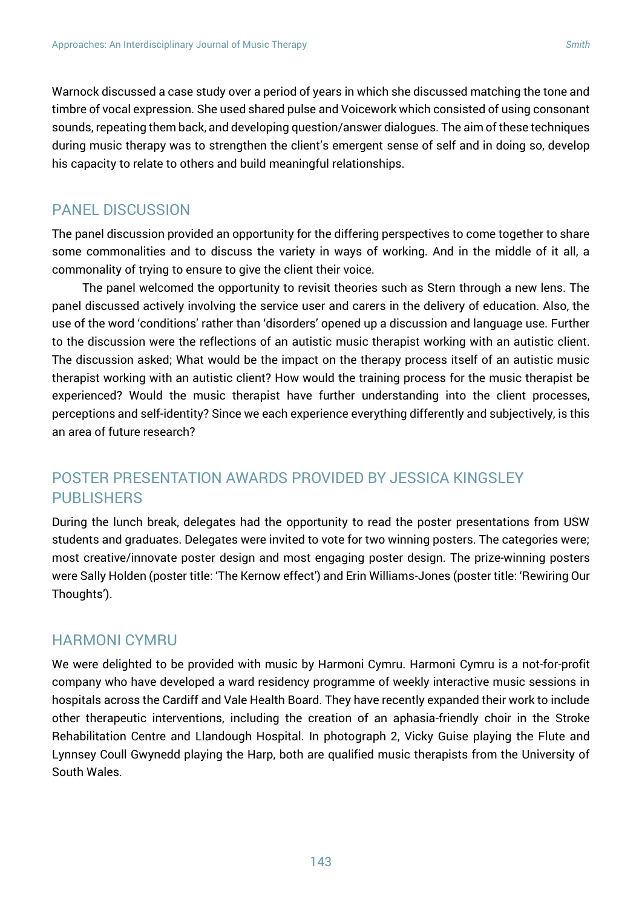Warnock discussed a case study over a period of years in which she discussed matching the tone and timbre of vocal expression. She used shared pulse and Voicework which consisted of using consonant sounds, repeating them back, and developing question/answer dialogues. The aim of these techniques during music therapy was to strengthen the client's emergent sense of self and in doing so, develop his capacity to relate to others and build meaningful relationships.

### PANEL DISCUSSION

The panel discussion provided an opportunity for the differing perspectives to come together to share some commonalities and to discuss the variety in ways of working. And in the middle of it all, a commonality of trying to ensure to give the client their voice.

The panel welcomed the opportunity to revisit theories such as Stern through a new lens. The panel discussed actively involving the service user and carers in the delivery of education. Also, the use of the word 'conditions' rather than 'disorders' opened up a discussion and language use. Further to the discussion were the reflections of an autistic music therapist working with an autistic client. The discussion asked; What would be the impact on the therapy process itself of an autistic music therapist working with an autistic client? How would the training process for the music therapist be experienced? Would the music therapist have further understanding into the client processes, perceptions and self-identity? Since we each experience everything differently and subjectively, is this an area of future research?

## POSTER PRESENTATION AWARDS PROVIDED BY JESSICA KINGSLEY **PUBLISHERS**

During the lunch break, delegates had the opportunity to read the poster presentations from USW students and graduates. Delegates were invited to vote for two winning posters. The categories were; most creative/innovate poster design and most engaging poster design. The prize-winning posters were Sally Holden (poster title: 'The Kernow effect') and Erin Williams-Jones (poster title: 'Rewiring Our Thoughts').

#### HARMONI CYMRU

We were delighted to be provided with music by Harmoni Cymru. Harmoni Cymru is a not-for-profit company who have developed a ward residency programme of weekly interactive music sessions in hospitals across the Cardiff and Vale Health Board. They have recently expanded their work to include other therapeutic interventions, including the creation of an aphasia-friendly choir in the Stroke Rehabilitation Centre and Llandough Hospital. In photograph 2, Vicky Guise playing the Flute and Lynnsey Coull Gwynedd playing the Harp, both are qualified music therapists from the University of South Wales.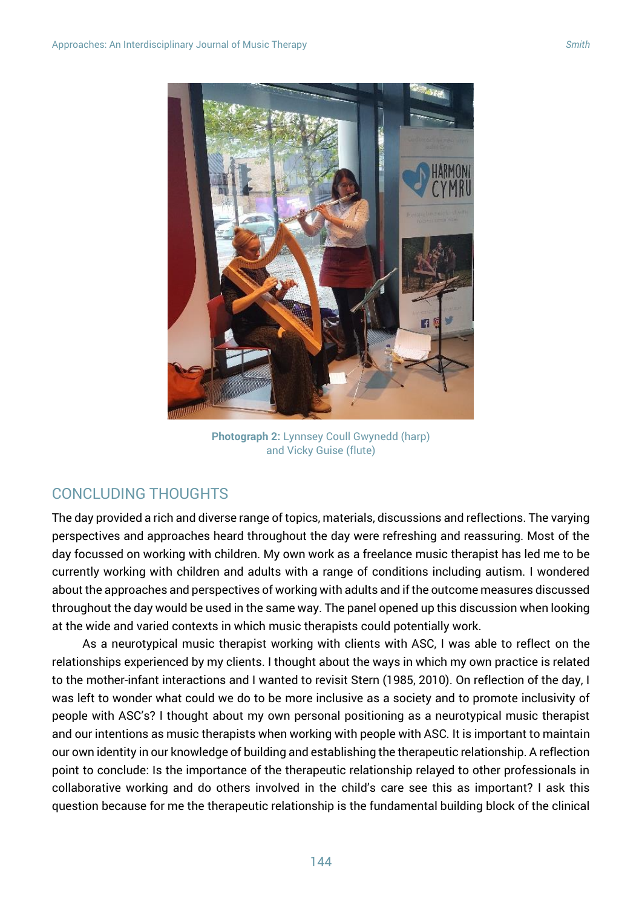

**Photograph 2:** Lynnsey Coull Gwynedd (harp) and Vicky Guise (flute)

### CONCLUDING THOUGHTS

The day provided a rich and diverse range of topics, materials, discussions and reflections. The varying perspectives and approaches heard throughout the day were refreshing and reassuring. Most of the day focussed on working with children. My own work as a freelance music therapist has led me to be currently working with children and adults with a range of conditions including autism. I wondered about the approaches and perspectives of working with adults and if the outcome measures discussed throughout the day would be used in the same way. The panel opened up this discussion when looking at the wide and varied contexts in which music therapists could potentially work.

As a neurotypical music therapist working with clients with ASC, I was able to reflect on the relationships experienced by my clients. I thought about the ways in which my own practice is related to the mother-infant interactions and I wanted to revisit Stern (1985, 2010). On reflection of the day, I was left to wonder what could we do to be more inclusive as a society and to promote inclusivity of people with ASC's? I thought about my own personal positioning as a neurotypical music therapist and our intentions as music therapists when working with people with ASC. It is important to maintain our own identity in our knowledge of building and establishing the therapeutic relationship. A reflection point to conclude: Is the importance of the therapeutic relationship relayed to other professionals in collaborative working and do others involved in the child's care see this as important? I ask this question because for me the therapeutic relationship is the fundamental building block of the clinical